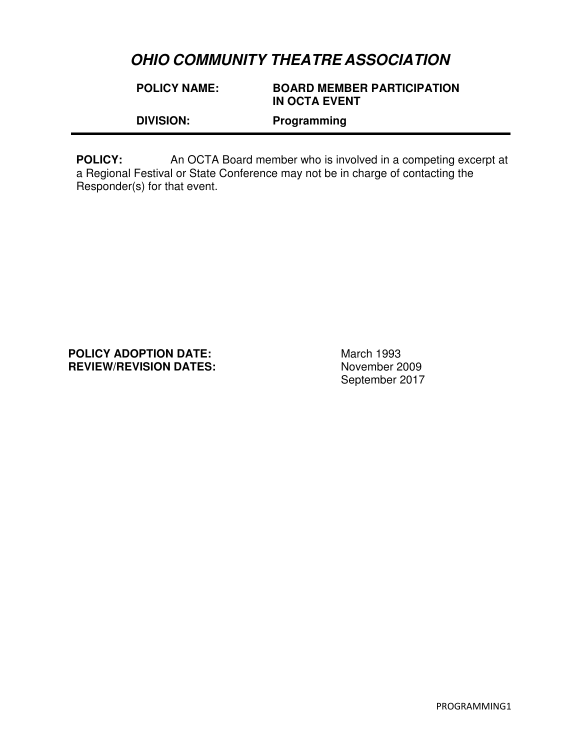**POLICY NAME: BOARD MEMBER PARTICIPATION IN OCTA EVENT DIVISION: Programming** 

**POLICY:** An OCTA Board member who is involved in a competing excerpt at a Regional Festival or State Conference may not be in charge of contacting the Responder(s) for that event.

**POLICY ADOPTION DATE:** March 1993 **REVIEW/REVISION DATES:** 

September 2017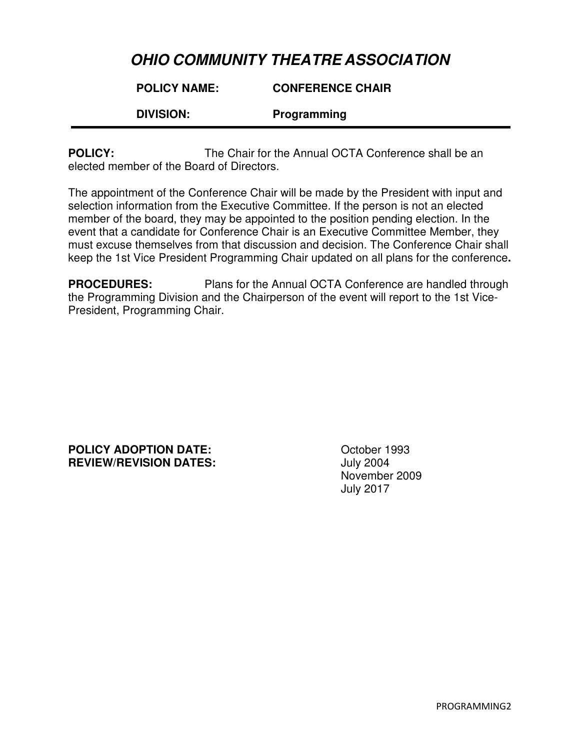**POLICY NAME: CONFERENCE CHAIR** 

 **DIVISION: Programming** 

**POLICY:** The Chair for the Annual OCTA Conference shall be an elected member of the Board of Directors.

The appointment of the Conference Chair will be made by the President with input and selection information from the Executive Committee. If the person is not an elected member of the board, they may be appointed to the position pending election. In the event that a candidate for Conference Chair is an Executive Committee Member, they must excuse themselves from that discussion and decision. The Conference Chair shall keep the 1st Vice President Programming Chair updated on all plans for the conference**.** 

**PROCEDURES:** Plans for the Annual OCTA Conference are handled through the Programming Division and the Chairperson of the event will report to the 1st Vice-President, Programming Chair.

**POLICY ADOPTION DATE:** October 1993 **REVIEW/REVISION DATES:** July 2004

 November 2009 July 2017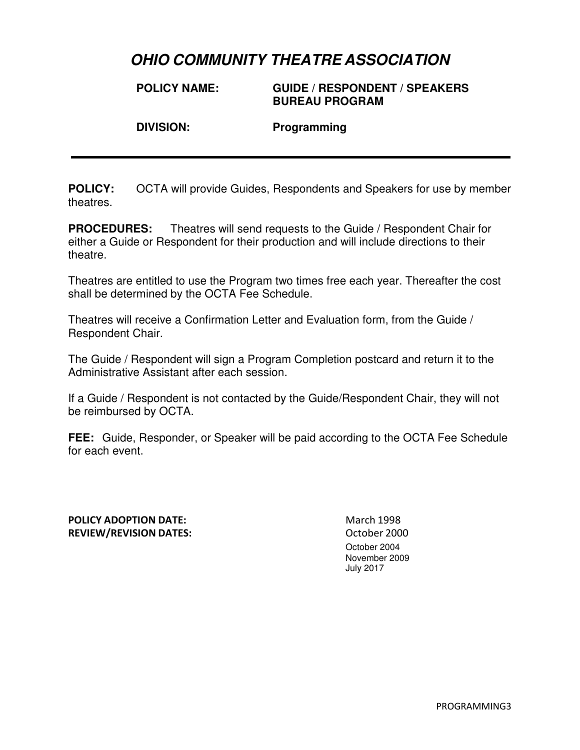**POLICY NAME: GUIDE / RESPONDENT / SPEAKERS** 

 **BUREAU PROGRAM** 

 **DIVISION: Programming** 

**POLICY:** OCTA will provide Guides, Respondents and Speakers for use by member theatres.

**PROCEDURES:** Theatres will send requests to the Guide / Respondent Chair for either a Guide or Respondent for their production and will include directions to their theatre.

Theatres are entitled to use the Program two times free each year. Thereafter the cost shall be determined by the OCTA Fee Schedule.

Theatres will receive a Confirmation Letter and Evaluation form, from the Guide / Respondent Chair.

The Guide / Respondent will sign a Program Completion postcard and return it to the Administrative Assistant after each session.

If a Guide / Respondent is not contacted by the Guide/Respondent Chair, they will not be reimbursed by OCTA.

**FEE:** Guide, Responder, or Speaker will be paid according to the OCTA Fee Schedule for each event.

**POLICY ADOPTION DATE:** March 1998 **REVIEW/REVISION DATES:** October 2000

October 2004 November 2009 July 2017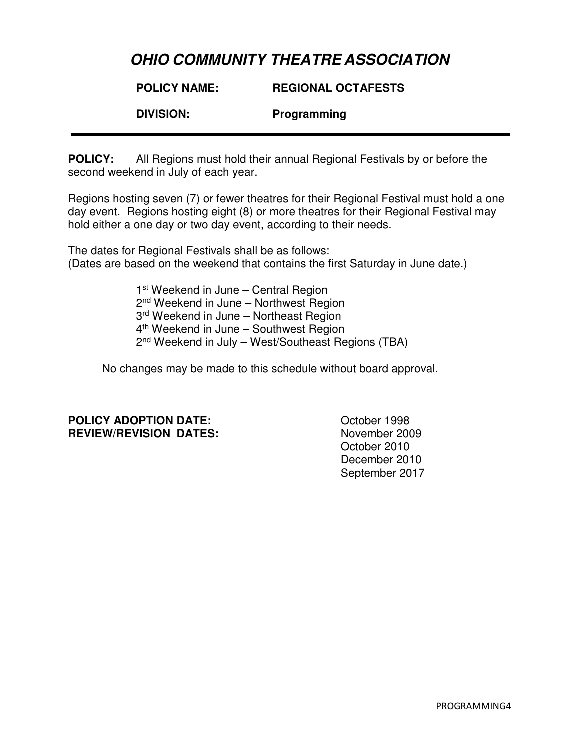**POLICY NAME: REGIONAL OCTAFESTS** 

 **DIVISION: Programming**

**POLICY:** All Regions must hold their annual Regional Festivals by or before the second weekend in July of each year.

Regions hosting seven (7) or fewer theatres for their Regional Festival must hold a one day event. Regions hosting eight (8) or more theatres for their Regional Festival may hold either a one day or two day event, according to their needs.

The dates for Regional Festivals shall be as follows: (Dates are based on the weekend that contains the first Saturday in June date.)

> 1<sup>st</sup> Weekend in June – Central Region 2<sup>nd</sup> Weekend in June – Northwest Region 3<sup>rd</sup> Weekend in June – Northeast Region 4<sup>th</sup> Weekend in June – Southwest Region 2nd Weekend in July – West/Southeast Regions (TBA)

No changes may be made to this schedule without board approval.

#### **POLICY ADOPTION DATE:** October 1998 **REVIEW/REVISION DATES:** November 2009

 October 2010 December 2010 September 2017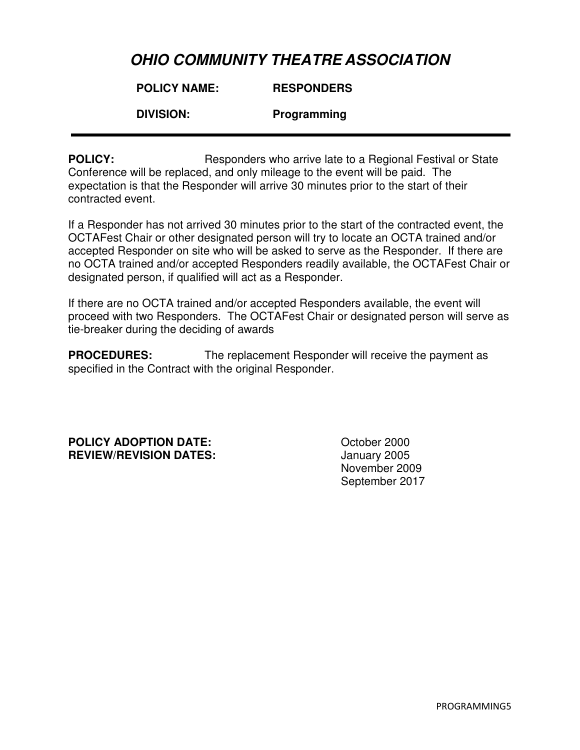| <b>POLICY NAME:</b> | <b>RESPONDERS</b> |
|---------------------|-------------------|
|---------------------|-------------------|

 **DIVISION: Programming**

**POLICY:** Responders who arrive late to a Regional Festival or State Conference will be replaced, and only mileage to the event will be paid. The expectation is that the Responder will arrive 30 minutes prior to the start of their contracted event.

If a Responder has not arrived 30 minutes prior to the start of the contracted event, the OCTAFest Chair or other designated person will try to locate an OCTA trained and/or accepted Responder on site who will be asked to serve as the Responder. If there are no OCTA trained and/or accepted Responders readily available, the OCTAFest Chair or designated person, if qualified will act as a Responder.

If there are no OCTA trained and/or accepted Responders available, the event will proceed with two Responders. The OCTAFest Chair or designated person will serve as tie-breaker during the deciding of awards

**PROCEDURES:** The replacement Responder will receive the payment as specified in the Contract with the original Responder.

**POLICY ADOPTION DATE:** October 2000 **REVIEW/REVISION DATES:** January 2005

 November 2009 September 2017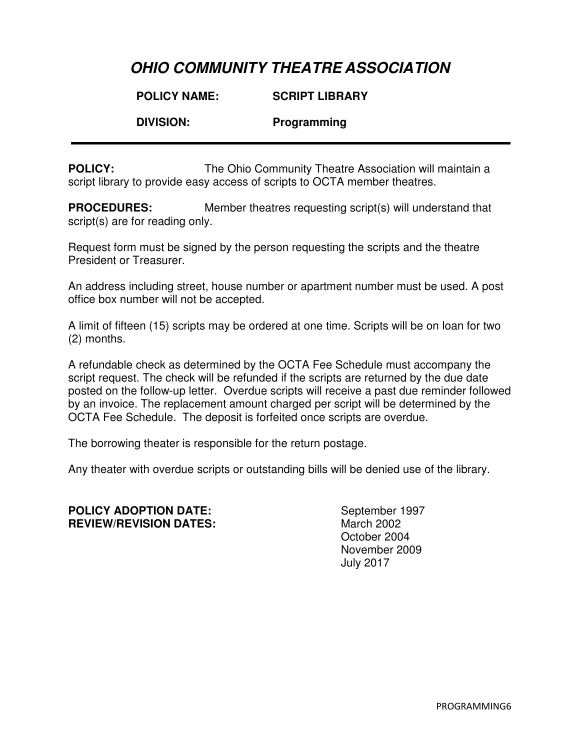**POLICY NAME: SCRIPT LIBRARY** 

 **DIVISION: Programming**

**POLICY:** The Ohio Community Theatre Association will maintain a script library to provide easy access of scripts to OCTA member theatres.

**PROCEDURES:** Member theatres requesting script(s) will understand that script(s) are for reading only.

Request form must be signed by the person requesting the scripts and the theatre President or Treasurer.

An address including street, house number or apartment number must be used. A post office box number will not be accepted.

A limit of fifteen (15) scripts may be ordered at one time. Scripts will be on loan for two (2) months.

A refundable check as determined by the OCTA Fee Schedule must accompany the script request. The check will be refunded if the scripts are returned by the due date posted on the follow-up letter. Overdue scripts will receive a past due reminder followed by an invoice. The replacement amount charged per script will be determined by the OCTA Fee Schedule. The deposit is forfeited once scripts are overdue.

The borrowing theater is responsible for the return postage.

Any theater with overdue scripts or outstanding bills will be denied use of the library.

**POLICY ADOPTION DATE:** September 1997 **REVIEW/REVISION DATES:** March 2002

 October 2004 November 2009 July 2017